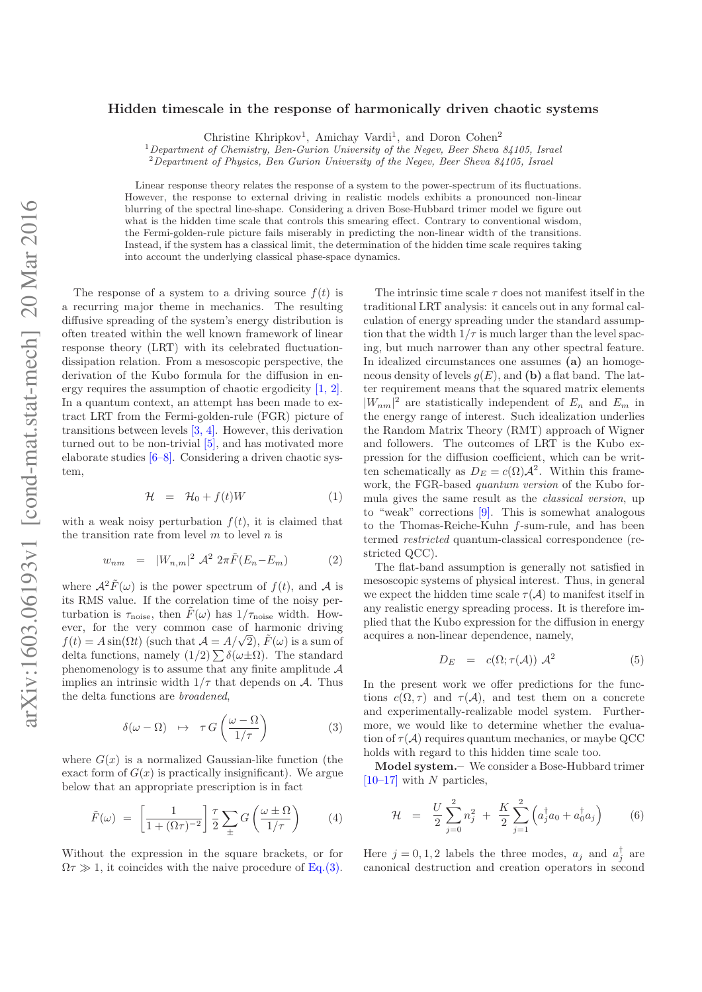## Hidden timescale in the response of harmonically driven chaotic systems

Christine Khripkov<sup>1</sup>, Amichay Vardi<sup>1</sup>, and Doron Cohen<sup>2</sup>

<sup>1</sup>Department of Chemistry, Ben-Gurion University of the Negev, Beer Sheva 84105, Israel

<sup>2</sup>Department of Physics, Ben Gurion University of the Negev, Beer Sheva 84105, Israel

Linear response theory relates the response of a system to the power-spectrum of its fluctuations. However, the response to external driving in realistic models exhibits a pronounced non-linear blurring of the spectral line-shape. Considering a driven Bose-Hubbard trimer model we figure out what is the hidden time scale that controls this smearing effect. Contrary to conventional wisdom, the Fermi-golden-rule picture fails miserably in predicting the non-linear width of the transitions. Instead, if the system has a classical limit, the determination of the hidden time scale requires taking into account the underlying classical phase-space dynamics.

The response of a system to a driving source  $f(t)$  is a recurring major theme in mechanics. The resulting diffusive spreading of the system's energy distribution is often treated within the well known framework of linear response theory (LRT) with its celebrated fluctuationdissipation relation. From a mesoscopic perspective, the derivation of the Kubo formula for the diffusion in energy requires the assumption of chaotic ergodicity [1, 2]. In a quantum context, an attempt has been made to extract LRT from the Fermi-golden-rule (FGR) picture of transitions between levels [3, 4]. However, this derivation turned out to be non-trivial  $[5]$ , and has motivated more elaborate studies [6–8]. Considering a driven chaotic system,

$$
\mathcal{H} = \mathcal{H}_0 + f(t)W \tag{1}
$$

with a weak noisy perturbation  $f(t)$ , it is claimed that the transition rate from level  $m$  to level  $n$  is

$$
w_{nm} = |W_{n,m}|^2 \mathcal{A}^2 2\pi \tilde{F}(E_n - E_m)
$$
 (2)

where  $\mathcal{A}^2 \tilde{F}(\omega)$  is the power spectrum of  $f(t)$ , and A is its RMS value. If the correlation time of the noisy perturbation is  $\tau_{\text{noise}}$ , then  $\tilde{F}(\omega)$  has  $1/\tau_{\text{noise}}$  width. However, for the very common case of harmonic driving  $f(t) = A \sin(\Omega t)$  (such that  $\mathcal{A} = A/\sqrt{2}$ ),  $\tilde{F}(\omega)$  is a sum of delta functions, namely  $(1/2)\sum \delta(\omega \pm \Omega)$ . The standard phenomenology is to assume that any finite amplitude  $A$ implies an intrinsic width  $1/\tau$  that depends on A. Thus the delta functions are broadened,

$$
\delta(\omega - \Omega) \quad \mapsto \quad \tau G\left(\frac{\omega - \Omega}{1/\tau}\right) \tag{3}
$$

where  $G(x)$  is a normalized Gaussian-like function (the exact form of  $G(x)$  is practically insignificant). We argue below that an appropriate prescription is in fact

$$
\tilde{F}(\omega) = \left[\frac{1}{1 + (\Omega \tau)^{-2}}\right] \frac{\tau}{2} \sum_{\pm} G\left(\frac{\omega \pm \Omega}{1/\tau}\right) \tag{4}
$$

Without the expression in the square brackets, or for  $\Omega \tau \gg 1$ , it coincides with the naive procedure of Eq.(3).

The intrinsic time scale  $\tau$  does not manifest itself in the traditional LRT analysis: it cancels out in any formal calculation of energy spreading under the standard assumption that the width  $1/\tau$  is much larger than the level spacing, but much narrower than any other spectral feature. In idealized circumstances one assumes (a) an homogeneous density of levels  $g(E)$ , and (b) a flat band. The latter requirement means that the squared matrix elements  $|W_{nm}|^2$  are statistically independent of  $E_n$  and  $E_m$  in the energy range of interest. Such idealization underlies the Random Matrix Theory (RMT) approach of Wigner and followers. The outcomes of LRT is the Kubo expression for the diffusion coefficient, which can be written schematically as  $D_E = c(\Omega) \mathcal{A}^2$ . Within this framework, the FGR-based quantum version of the Kubo formula gives the same result as the classical version, up to "weak" corrections [9]. This is somewhat analogous to the Thomas-Reiche-Kuhn f-sum-rule, and has been termed restricted quantum-classical correspondence (restricted QCC).

The flat-band assumption is generally not satisfied in mesoscopic systems of physical interest. Thus, in general we expect the hidden time scale  $\tau(A)$  to manifest itself in any realistic energy spreading process. It is therefore implied that the Kubo expression for the diffusion in energy acquires a non-linear dependence, namely,

$$
D_E = c(\Omega; \tau(\mathcal{A})) \mathcal{A}^2 \tag{5}
$$

In the present work we offer predictions for the functions  $c(\Omega, \tau)$  and  $\tau(\mathcal{A})$ , and test them on a concrete and experimentally-realizable model system. Furthermore, we would like to determine whether the evaluation of  $\tau(\mathcal{A})$  requires quantum mechanics, or maybe QCC holds with regard to this hidden time scale too.

Model system.– We consider a Bose-Hubbard trimer  $[10-17]$  with N particles,

$$
\mathcal{H} = \frac{U}{2} \sum_{j=0}^{2} n_j^2 + \frac{K}{2} \sum_{j=1}^{2} \left( a_j^{\dagger} a_0 + a_0^{\dagger} a_j \right) \tag{6}
$$

Here  $j = 0, 1, 2$  labels the three modes,  $a_j$  and  $a_j^{\dagger}$  are canonical destruction and creation operators in second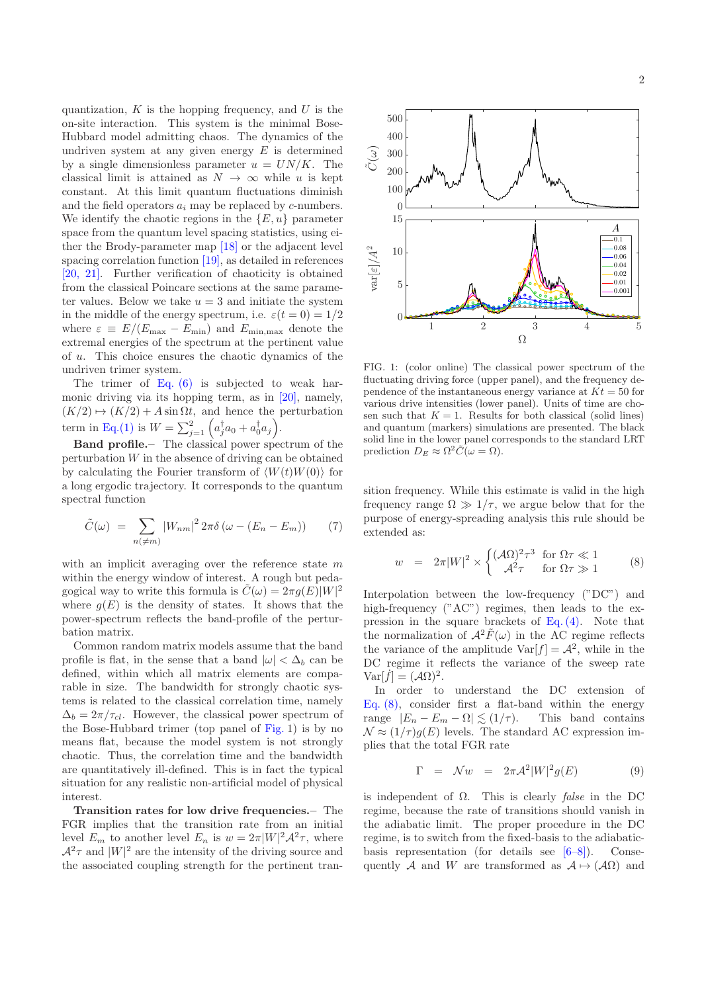quantization,  $K$  is the hopping frequency, and  $U$  is the on-site interaction. This system is the minimal Bose-Hubbard model admitting chaos. The dynamics of the undriven system at any given energy  $E$  is determined by a single dimensionless parameter  $u = UN/K$ . The classical limit is attained as  $N \to \infty$  while u is kept constant. At this limit quantum fluctuations diminish and the field operators  $a_i$  may be replaced by c-numbers. We identify the chaotic regions in the  $\{E, u\}$  parameter space from the quantum level spacing statistics, using either the Brody-parameter map [18] or the adjacent level spacing correlation function [19], as detailed in references [20, 21]. Further verification of chaoticity is obtained from the classical Poincare sections at the same parameter values. Below we take  $u = 3$  and initiate the system in the middle of the energy spectrum, i.e.  $\varepsilon(t=0) = 1/2$ where  $\varepsilon \equiv E/(E_{\text{max}} - E_{\text{min}})$  and  $E_{\text{min,max}}$  denote the extremal energies of the spectrum at the pertinent value of u. This choice ensures the chaotic dynamics of the undriven trimer system.

The trimer of Eq. (6) is subjected to weak harmonic driving via its hopping term, as in [20], namely,  $(K/2) \mapsto (K/2) + A \sin \Omega t$ , and hence the perturbation term in Eq.(1) is  $W = \sum_{j=1}^{2} \left( a_j^{\dagger} a_0 + a_0^{\dagger} a_j \right)$ .

Band profile.– The classical power spectrum of the perturbation  $W$  in the absence of driving can be obtained by calculating the Fourier transform of  $\langle W(t)W(0)\rangle$  for a long ergodic trajectory. It corresponds to the quantum spectral function

$$
\tilde{C}(\omega) = \sum_{n(\neq m)} |W_{nm}|^2 2\pi \delta (\omega - (E_n - E_m)) \qquad (7)
$$

with an implicit averaging over the reference state  $m$ within the energy window of interest. A rough but pedagogical way to write this formula is  $\tilde{C}(\omega) = 2\pi g(E)|W|^2$ where  $q(E)$  is the density of states. It shows that the power-spectrum reflects the band-profile of the perturbation matrix.

Common random matrix models assume that the band profile is flat, in the sense that a band  $|\omega| < \Delta_b$  can be defined, within which all matrix elements are comparable in size. The bandwidth for strongly chaotic systems is related to the classical correlation time, namely  $\Delta_b = 2\pi/\tau_{cl}$ . However, the classical power spectrum of the Bose-Hubbard trimer (top panel of Fig. 1) is by no means flat, because the model system is not strongly chaotic. Thus, the correlation time and the bandwidth are quantitatively ill-defined. This is in fact the typical situation for any realistic non-artificial model of physical interest.

Transition rates for low drive frequencies.– The FGR implies that the transition rate from an initial level  $E_m$  to another level  $E_n$  is  $w = 2\pi |W|^2 \mathcal{A}^2 \tau$ , where  $\mathcal{A}^2\tau$  and  $|W|^2$  are the intensity of the driving source and the associated coupling strength for the pertinent tran-



FIG. 1: (color online) The classical power spectrum of the fluctuating driving force (upper panel), and the frequency dependence of the instantaneous energy variance at  $Kt = 50$  for various drive intensities (lower panel). Units of time are chosen such that  $K = 1$ . Results for both classical (solid lines) and quantum (markers) simulations are presented. The black solid line in the lower panel corresponds to the standard LRT prediction  $D_E \approx \Omega^2 \tilde{C}(\omega = \Omega)$ .

sition frequency. While this estimate is valid in the high frequency range  $\Omega \gg 1/\tau$ , we argue below that for the purpose of energy-spreading analysis this rule should be extended as:

$$
w = 2\pi |W|^2 \times \begin{cases} (\mathcal{A}\Omega)^2 \tau^3 & \text{for } \Omega \tau \ll 1\\ \mathcal{A}^2 \tau & \text{for } \Omega \tau \gg 1 \end{cases} \tag{8}
$$

Interpolation between the low-frequency ("DC") and high-frequency ("AC") regimes, then leads to the expression in the square brackets of Eq. (4). Note that the normalization of  $\mathcal{A}^2 F(\omega)$  in the AC regime reflects the variance of the amplitude  $Var[f] = \mathcal{A}^2$ , while in the DC regime it reflects the variance of the sweep rate  $Var[f] = (\mathcal{A}\Omega)^2$ .

In order to understand the DC extension of Eq.  $(8)$ , consider first a flat-band within the energy range  $|E_n - E_m - \Omega| \lesssim (1/\tau)$ . This band contains  $\mathcal{N} \approx (1/\tau) g(E)$  levels. The standard AC expression implies that the total FGR rate

$$
\Gamma = \mathcal{N}w = 2\pi \mathcal{A}^2 |W|^2 g(E) \tag{9}
$$

is independent of Ω. This is clearly false in the DC regime, because the rate of transitions should vanish in the adiabatic limit. The proper procedure in the DC regime, is to switch from the fixed-basis to the adiabaticbasis representation (for details see  $[6-8]$ ). Consequently A and W are transformed as  $A \mapsto (A\Omega)$  and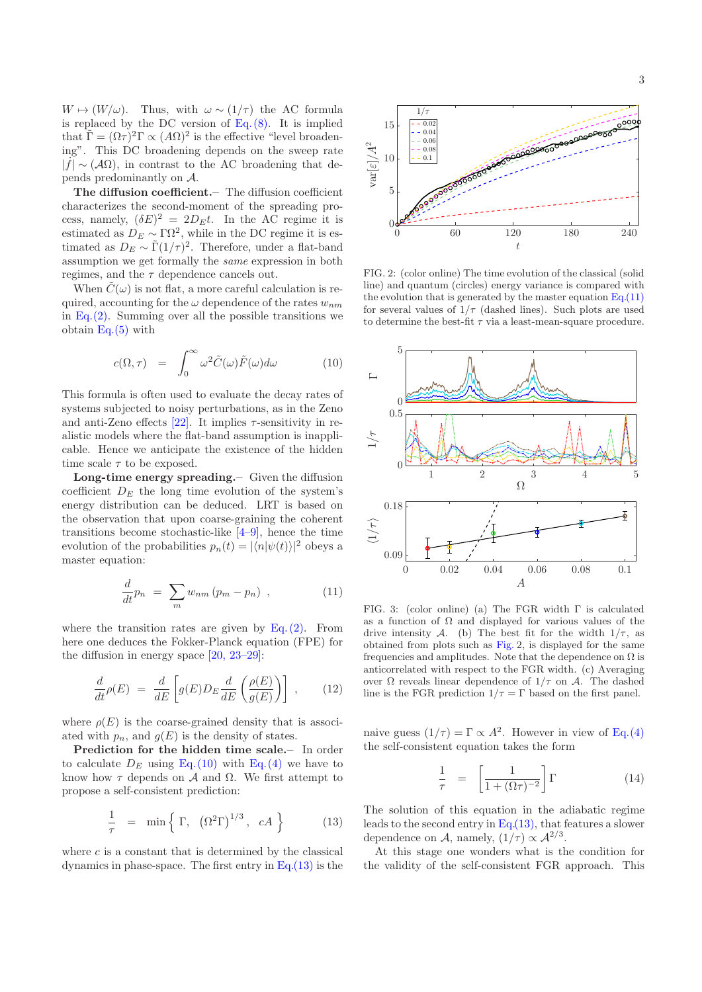$W \mapsto (W/\omega)$ . Thus, with  $\omega \sim (1/\tau)$  the AC formula is replaced by the DC version of  $Eq. (8)$ . It is implied that  $\tilde{\Gamma} = (\Omega \tau)^2 \Gamma \propto (A\Omega)^2$  is the effective "level broadening". This DC broadening depends on the sweep rate  $| \dot{f} | \sim (A\Omega)$ , in contrast to the AC broadening that depends predominantly on A.

The diffusion coefficient.– The diffusion coefficient characterizes the second-moment of the spreading process, namely,  $(\delta E)^2 = 2D_E t$ . In the AC regime it is estimated as  $D_E \sim \Gamma \Omega^2$ , while in the DC regime it is estimated as  $D_E \sim \tilde{\Gamma}(1/\tau)^2$ . Therefore, under a flat-band assumption we get formally the same expression in both regimes, and the  $\tau$  dependence cancels out.

When  $\tilde{C}(\omega)$  is not flat, a more careful calculation is required, accounting for the  $\omega$  dependence of the rates  $w_{nm}$ in Eq. $(2)$ . Summing over all the possible transitions we obtain Eq.(5) with

$$
c(\Omega, \tau) = \int_0^\infty \omega^2 \tilde{C}(\omega) \tilde{F}(\omega) d\omega \qquad (10)
$$

This formula is often used to evaluate the decay rates of systems subjected to noisy perturbations, as in the Zeno and anti-Zeno effects  $[22]$ . It implies  $\tau$ -sensitivity in realistic models where the flat-band assumption is inapplicable. Hence we anticipate the existence of the hidden time scale  $\tau$  to be exposed.

Long-time energy spreading.– Given the diffusion coefficient  $D<sub>E</sub>$  the long time evolution of the system's energy distribution can be deduced. LRT is based on the observation that upon coarse-graining the coherent transitions become stochastic-like  $[4-9]$ , hence the time evolution of the probabilities  $p_n(t) = |\langle n | \psi(t) \rangle|^2$  obeys a master equation:

$$
\frac{d}{dt}p_n = \sum_m w_{nm} (p_m - p_n) , \qquad (11)
$$

where the transition rates are given by  $Eq. (2)$ . From here one deduces the Fokker-Planck equation (FPE) for the diffusion in energy space [20, 23–29]:

$$
\frac{d}{dt}\rho(E) = \frac{d}{dE}\left[g(E)D_E\frac{d}{dE}\left(\frac{\rho(E)}{g(E)}\right)\right] ,\qquad(12)
$$

where  $\rho(E)$  is the coarse-grained density that is associated with  $p_n$ , and  $g(E)$  is the density of states.

Prediction for the hidden time scale.– In order to calculate  $D_E$  using Eq.(10) with Eq.(4) we have to know how  $\tau$  depends on  $\mathcal A$  and  $\Omega$ . We first attempt to propose a self-consistent prediction:

$$
\frac{1}{\tau} = \min \left\{ \Gamma, \left( \Omega^2 \Gamma \right)^{1/3}, \ cA \right\} \tag{13}
$$

where  $c$  is a constant that is determined by the classical dynamics in phase-space. The first entry in Eq.(13) is the



FIG. 2: (color online) The time evolution of the classical (solid line) and quantum (circles) energy variance is compared with the evolution that is generated by the master equation  $Eq.(11)$ for several values of  $1/\tau$  (dashed lines). Such plots are used to determine the best-fit  $\tau$  via a least-mean-square procedure.



FIG. 3: (color online) (a) The FGR width Γ is calculated as a function of  $\Omega$  and displayed for various values of the drive intensity A. (b) The best fit for the width  $1/\tau$ , as obtained from plots such as Fig. 2, is displayed for the same frequencies and amplitudes. Note that the dependence on  $\Omega$  is anticorrelated with respect to the FGR width. (c) Averaging over  $\Omega$  reveals linear dependence of  $1/τ$  on  $\mathcal{A}$ . The dashed line is the FGR prediction  $1/\tau = \Gamma$  based on the first panel.

naive guess  $(1/\tau) = \Gamma \propto A^2$ . However in view of Eq.(4) the self-consistent equation takes the form

$$
\frac{1}{\tau} = \left[ \frac{1}{1 + (\Omega \tau)^{-2}} \right] \Gamma \tag{14}
$$

The solution of this equation in the adiabatic regime leads to the second entry in  $Eq.(13)$ , that features a slower dependence on A, namely,  $(1/\tau) \propto \mathcal{A}^{2/3}$ .

At this stage one wonders what is the condition for the validity of the self-consistent FGR approach. This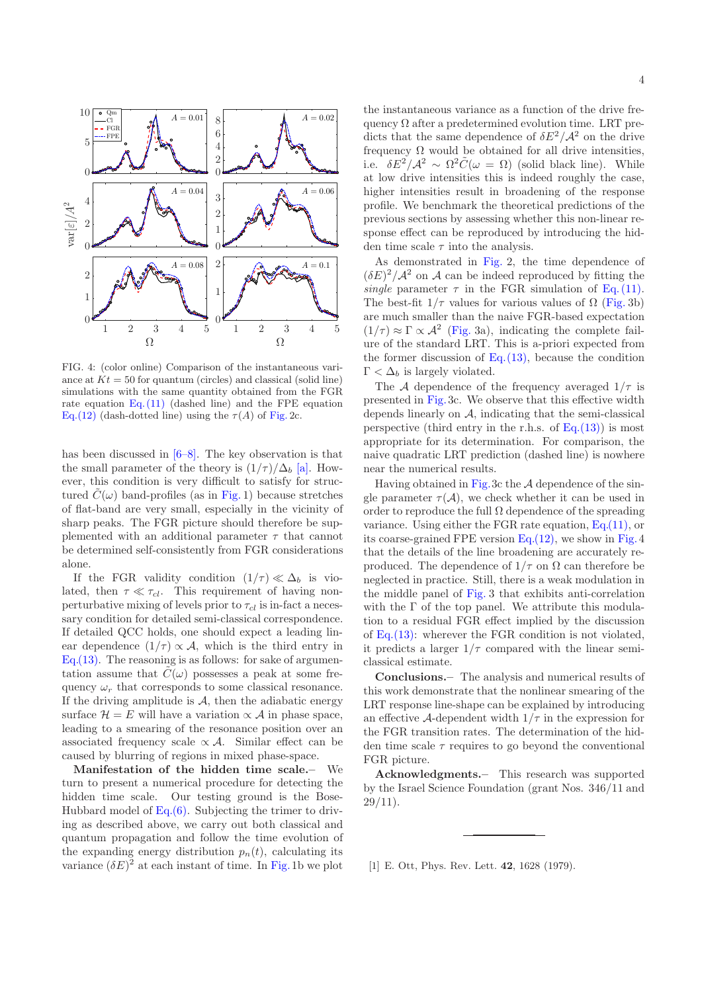

FIG. 4: (color online) Comparison of the instantaneous variance at  $Kt = 50$  for quantum (circles) and classical (solid line) simulations with the same quantity obtained from the FGR rate equation Eq. (11) (dashed line) and the FPE equation Eq.(12) (dash-dotted line) using the  $\tau(A)$  of Fig. 2c.

has been discussed in [6–8]. The key observation is that the small parameter of the theory is  $(1/\tau)/\Delta_b$  [a]. However, this condition is very difficult to satisfy for structured  $\tilde{C}(\omega)$  band-profiles (as in Fig. 1) because stretches of flat-band are very small, especially in the vicinity of sharp peaks. The FGR picture should therefore be supplemented with an additional parameter  $\tau$  that cannot be determined self-consistently from FGR considerations alone.

If the FGR validity condition  $(1/\tau) \ll \Delta_b$  is violated, then  $\tau \ll \tau_{cl}$ . This requirement of having nonperturbative mixing of levels prior to  $\tau_{cl}$  is in-fact a necessary condition for detailed semi-classical correspondence. If detailed QCC holds, one should expect a leading linear dependence  $(1/\tau) \propto A$ , which is the third entry in Eq.(13). The reasoning is as follows: for sake of argumentation assume that  $C(\omega)$  possesses a peak at some frequency  $\omega_r$  that corresponds to some classical resonance. If the driving amplitude is  $A$ , then the adiabatic energy surface  $\mathcal{H} = E$  will have a variation  $\propto \mathcal{A}$  in phase space, leading to a smearing of the resonance position over an associated frequency scale  $\propto \mathcal{A}$ . Similar effect can be caused by blurring of regions in mixed phase-space.

Manifestation of the hidden time scale.– We turn to present a numerical procedure for detecting the hidden time scale. Our testing ground is the Bose-Hubbard model of  $Eq.(6)$ . Subjecting the trimer to driving as described above, we carry out both classical and quantum propagation and follow the time evolution of the expanding energy distribution  $p_n(t)$ , calculating its variance  $(\delta E)^2$  at each instant of time. In Fig.1b we plot the instantaneous variance as a function of the drive frequency  $\Omega$  after a predetermined evolution time. LRT predicts that the same dependence of  $\delta E^2/\mathcal{A}^2$  on the drive frequency  $\Omega$  would be obtained for all drive intensities, i.e.  $\delta E^2/\mathcal{A}^2 \sim \Omega^2 \tilde{C}(\omega = \Omega)$  (solid black line). While at low drive intensities this is indeed roughly the case, higher intensities result in broadening of the response profile. We benchmark the theoretical predictions of the previous sections by assessing whether this non-linear response effect can be reproduced by introducing the hidden time scale  $\tau$  into the analysis.

As demonstrated in Fig. 2, the time dependence of  $(\delta E)^2/\mathcal{A}^2$  on A can be indeed reproduced by fitting the single parameter  $\tau$  in the FGR simulation of Eq. (11). The best-fit  $1/\tau$  values for various values of  $\Omega$  (Fig. 3b) are much smaller than the naive FGR-based expectation  $(1/\tau) \approx \Gamma \propto \mathcal{A}^2$  (Fig. 3a), indicating the complete failure of the standard LRT. This is a-priori expected from the former discussion of  $Eq. (13)$ , because the condition  $\Gamma < \Delta_b$  is largely violated.

The A dependence of the frequency averaged  $1/\tau$  is presented in Fig.3c. We observe that this effective width depends linearly on A, indicating that the semi-classical perspective (third entry in the r.h.s. of  $Eq.(13))$ ) is most appropriate for its determination. For comparison, the naive quadratic LRT prediction (dashed line) is nowhere near the numerical results.

Having obtained in Fig.3c the  $A$  dependence of the single parameter  $\tau(\mathcal{A})$ , we check whether it can be used in order to reproduce the full  $\Omega$  dependence of the spreading variance. Using either the FGR rate equation, Eq.(11), or its coarse-grained FPE version Eq.(12), we show in Fig.4 that the details of the line broadening are accurately reproduced. The dependence of  $1/\tau$  on  $\Omega$  can therefore be neglected in practice. Still, there is a weak modulation in the middle panel of Fig. 3 that exhibits anti-correlation with the  $\Gamma$  of the top panel. We attribute this modulation to a residual FGR effect implied by the discussion of Eq.(13): wherever the FGR condition is not violated, it predicts a larger  $1/\tau$  compared with the linear semiclassical estimate.

Conclusions.– The analysis and numerical results of this work demonstrate that the nonlinear smearing of the LRT response line-shape can be explained by introducing an effective A-dependent width  $1/\tau$  in the expression for the FGR transition rates. The determination of the hidden time scale  $\tau$  requires to go beyond the conventional FGR picture.

Acknowledgments.– This research was supported by the Israel Science Foundation (grant Nos. 346/11 and  $29/11$ ).

[1] E. Ott, Phys. Rev. Lett. 42, 1628 (1979).